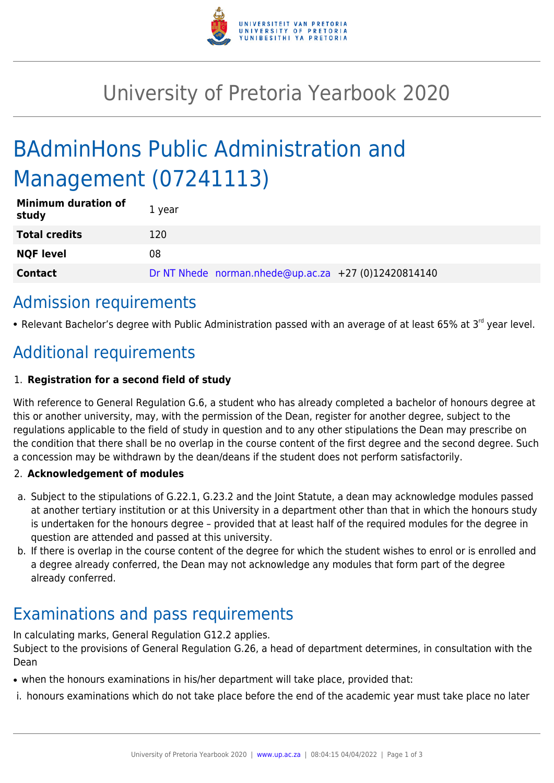

## University of Pretoria Yearbook 2020

# BAdminHons Public Administration and Management (07241113)

| <b>Minimum duration of</b><br>study | 1 year                                               |
|-------------------------------------|------------------------------------------------------|
| <b>Total credits</b>                | 120                                                  |
| <b>NQF level</b>                    | 08                                                   |
| <b>Contact</b>                      | Dr NT Nhede norman.nhede@up.ac.za +27 (0)12420814140 |

### Admission requirements

• Relevant Bachelor's degree with Public Administration passed with an average of at least 65% at 3<sup>rd</sup> year level.

### Additional requirements

#### 1. **Registration for a second field of study**

With reference to General Regulation G.6, a student who has already completed a bachelor of honours degree at this or another university, may, with the permission of the Dean, register for another degree, subject to the regulations applicable to the field of study in question and to any other stipulations the Dean may prescribe on the condition that there shall be no overlap in the course content of the first degree and the second degree. Such a concession may be withdrawn by the dean/deans if the student does not perform satisfactorily.

#### 2. **Acknowledgement of modules**

- a. Subject to the stipulations of G.22.1, G.23.2 and the Joint Statute, a dean may acknowledge modules passed at another tertiary institution or at this University in a department other than that in which the honours study is undertaken for the honours degree – provided that at least half of the required modules for the degree in question are attended and passed at this university.
- b. If there is overlap in the course content of the degree for which the student wishes to enrol or is enrolled and a degree already conferred, the Dean may not acknowledge any modules that form part of the degree already conferred.

### Examinations and pass requirements

In calculating marks, General Regulation G12.2 applies.

Subject to the provisions of General Regulation G.26, a head of department determines, in consultation with the Dean

- when the honours examinations in his/her department will take place, provided that:
- i. honours examinations which do not take place before the end of the academic year must take place no later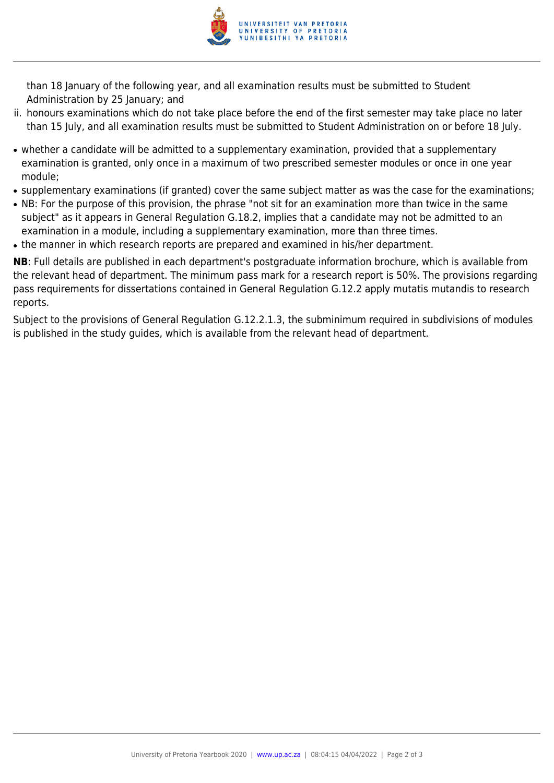

than 18 January of the following year, and all examination results must be submitted to Student Administration by 25 January; and

- ii. honours examinations which do not take place before the end of the first semester may take place no later than 15 July, and all examination results must be submitted to Student Administration on or before 18 July.
- whether a candidate will be admitted to a supplementary examination, provided that a supplementary examination is granted, only once in a maximum of two prescribed semester modules or once in one year module;
- supplementary examinations (if granted) cover the same subject matter as was the case for the examinations;
- NB: For the purpose of this provision, the phrase "not sit for an examination more than twice in the same subject" as it appears in General Regulation G.18.2, implies that a candidate may not be admitted to an examination in a module, including a supplementary examination, more than three times.
- the manner in which research reports are prepared and examined in his/her department.

**NB**: Full details are published in each department's postgraduate information brochure, which is available from the relevant head of department. The minimum pass mark for a research report is 50%. The provisions regarding pass requirements for dissertations contained in General Regulation G.12.2 apply mutatis mutandis to research reports.

Subject to the provisions of General Regulation G.12.2.1.3, the subminimum required in subdivisions of modules is published in the study guides, which is available from the relevant head of department.